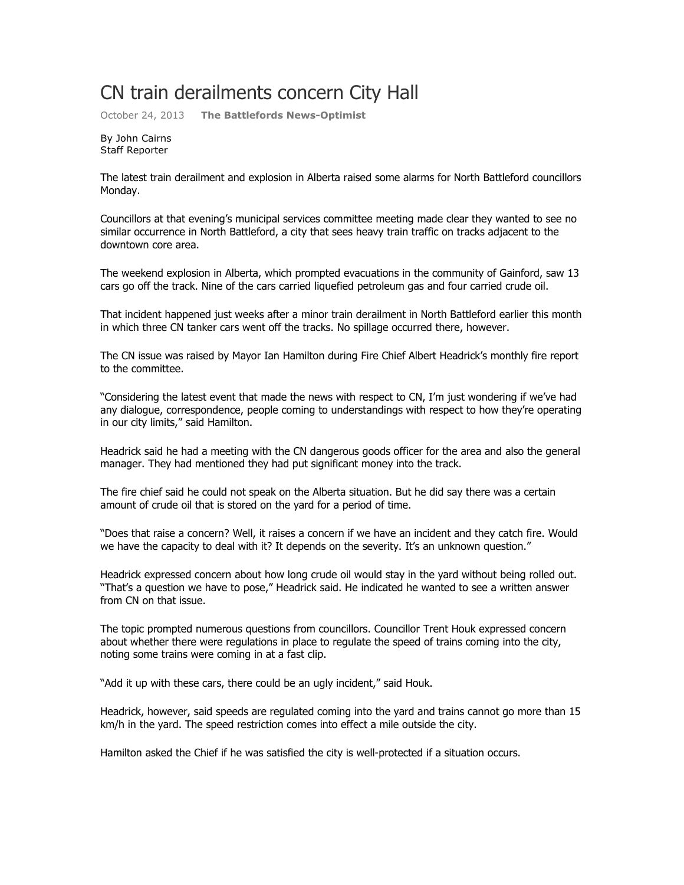## CN train derailments concern City Hall

October 24, 2013 **The Battlefords News-Optimist**

By John Cairns Staff Reporter

The latest train derailment and explosion in Alberta raised some alarms for North Battleford councillors Monday.

Councillors at that evening's municipal services committee meeting made clear they wanted to see no similar occurrence in North Battleford, a city that sees heavy train traffic on tracks adjacent to the downtown core area.

The weekend explosion in Alberta, which prompted evacuations in the community of Gainford, saw 13 cars go off the track. Nine of the cars carried liquefied petroleum gas and four carried crude oil.

That incident happened just weeks after a minor train derailment in North Battleford earlier this month in which three CN tanker cars went off the tracks. No spillage occurred there, however.

The CN issue was raised by Mayor Ian Hamilton during Fire Chief Albert Headrick's monthly fire report to the committee.

"Considering the latest event that made the news with respect to CN, I'm just wondering if we've had any dialogue, correspondence, people coming to understandings with respect to how they're operating in our city limits," said Hamilton.

Headrick said he had a meeting with the CN dangerous goods officer for the area and also the general manager. They had mentioned they had put significant money into the track.

The fire chief said he could not speak on the Alberta situation. But he did say there was a certain amount of crude oil that is stored on the yard for a period of time.

"Does that raise a concern? Well, it raises a concern if we have an incident and they catch fire. Would we have the capacity to deal with it? It depends on the severity. It's an unknown question."

Headrick expressed concern about how long crude oil would stay in the yard without being rolled out. "That's a question we have to pose," Headrick said. He indicated he wanted to see a written answer from CN on that issue.

The topic prompted numerous questions from councillors. Councillor Trent Houk expressed concern about whether there were regulations in place to regulate the speed of trains coming into the city, noting some trains were coming in at a fast clip.

"Add it up with these cars, there could be an ugly incident," said Houk.

Headrick, however, said speeds are regulated coming into the yard and trains cannot go more than 15 km/h in the yard. The speed restriction comes into effect a mile outside the city.

Hamilton asked the Chief if he was satisfied the city is well-protected if a situation occurs.